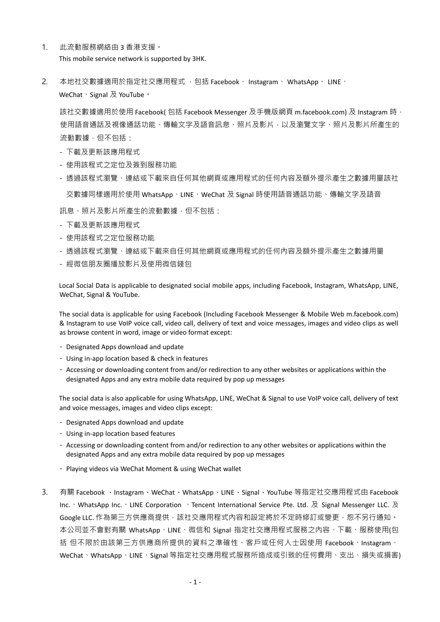- 1. 此流動服務網絡由 3 香港支援。 This mobile service network is supported by 3HK.
- 2. 本地社交數據適用於指定社交應用程式 · 包括 Facebook、 Instagram、 WhatsApp、 LINE、 WeChat、Signal 及 YouTube。

該社交數據適用於使用 Facebook(包括 Facebook Messenger 及手機版網頁 m.facebook.com) 及 Instagram 時, 使用語音通話及視像通話功能、傳輸文字及語音訊息、照片及影片,以及瀏覽文字、照片及影片所產生的 流動數據,但不包括:

- 下載及更新該應用程式
- 使用該程式之定位及簽到服務功能
- 透過該程式瀏覽、連結或下載來自任何其他網頁或應用程式的任何內容及額外提示產生之數據用量該社

交數據同樣適用於使用 WhatsApp、LINE、WeChat 及 Signal 時使用語音通話功能、傳輸文字及語音

訊息、照片及影片所產生的流動數據,但不包括:

- 下載及更新該應用程式
- 使用該程式之定位服務功能
- 透過該程式瀏覽、連結或下載來自任何其他網頁或應用程式的任何內容及額外提示產生之數據用量
- 經微信朋友圈播放影片及使用微信錢包

Local Social Data is applicable to designated social mobile apps, including Facebook, Instagram, WhatsApp, LINE, WeChat, Signal & YouTube.

The social data is applicable for using Facebook (Including Facebook Messenger & Mobile Web m.facebook.com) & Instagram to use VoIP voice call, video call, delivery of text and voice messages, images and video clips as well as browse content in word, image or video format except:

- Designated Apps download and update
- Using in-app location based & check in features
- Accessing or downloading content from and/or redirection to any other websites or applications within the designated Apps and any extra mobile data required by pop up messages

The social data is also applicable for using WhatsApp, LINE, WeChat & Signal to use VoIP voice call, delivery of text and voice messages, images and video clips except:

- Designated Apps download and update
- Using in-app location based features
- Accessing or downloading content from and/or redirection to any other websites or applications within the designated Apps and any extra mobile data required by pop up messages
- Playing videos via WeChat Moment & using WeChat wallet
- 3. 有關 Facebook 、Instagram、WeChat、WhatsApp、LINE、Signal、YouTube 等指定社交應用程式由 Facebook Inc. WhatsApp Inc. 、LINE Corporation 、Tencent International Service Pte. Ltd. 及 Signal Messenger LLC. 及 Google LLC. 作為第三方供應商提供,該社交應用程式內容和設定將於不定時修訂或變更,恕不另行通知。 本公司並不會對有關 WhatsApp、LINE、微信和 Signal 指定社交應用程式服務之內容、下載、服務使用(包 括 但不限於由該第三方供應商所提供的資料之準確性、客戶或任何人士因使用 Facebook、Instagram、 WeChat、WhatsApp、LINE、Signal 等指定社交應用程式服務所造成或引致的任何費用、支出、損失或損害)